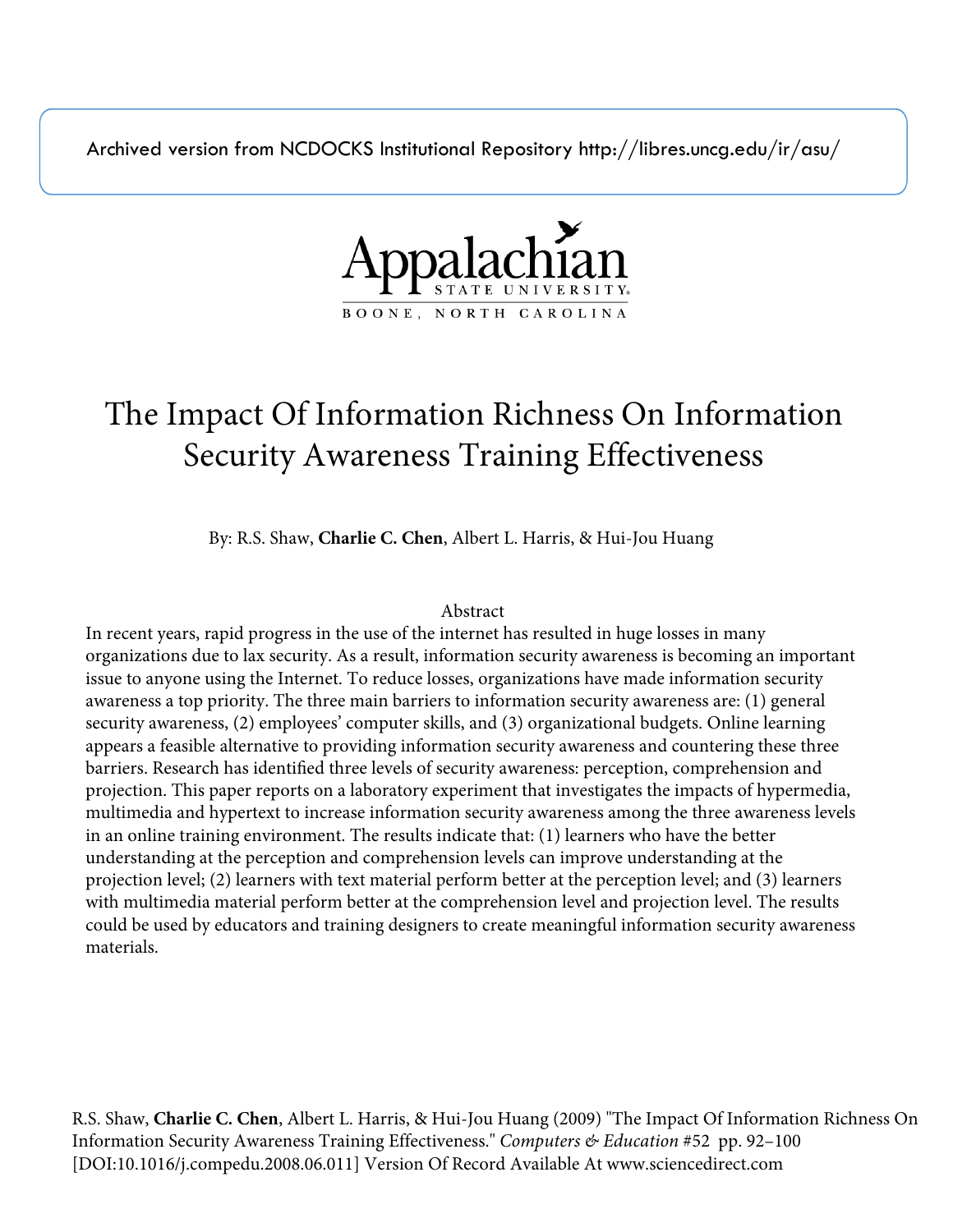Archived version from NCDOCKS Institutional Repository http://libres.uncg.edu/ir/asu/



# The Impact Of Information Richness On Information Security Awareness Training Effectiveness

By: R.S. Shaw, **Charlie C. Chen**, Albert L. Harris, & Hui-Jou Huang

## Abstract

In recent years, rapid progress in the use of the internet has resulted in huge losses in many organizations due to lax security. As a result, information security awareness is becoming an important issue to anyone using the Internet. To reduce losses, organizations have made information security awareness a top priority. The three main barriers to information security awareness are: (1) general security awareness, (2) employees' computer skills, and (3) organizational budgets. Online learning appears a feasible alternative to providing information security awareness and countering these three barriers. Research has identified three levels of security awareness: perception, comprehension and projection. This paper reports on a laboratory experiment that investigates the impacts of hypermedia, multimedia and hypertext to increase information security awareness among the three awareness levels in an online training environment. The results indicate that: (1) learners who have the better understanding at the perception and comprehension levels can improve understanding at the projection level; (2) learners with text material perform better at the perception level; and (3) learners with multimedia material perform better at the comprehension level and projection level. The results could be used by educators and training designers to create meaningful information security awareness materials.

R.S. Shaw, **Charlie C. Chen**, Albert L. Harris, & Hui-Jou Huang (2009) "The Impact Of Information Richness On Information Security Awareness Training Effectiveness." *Computers & Education* #52 pp. 92–100 [DOI:10.1016/j.compedu.2008.06.011] Version Of Record Available At www.sciencedirect.com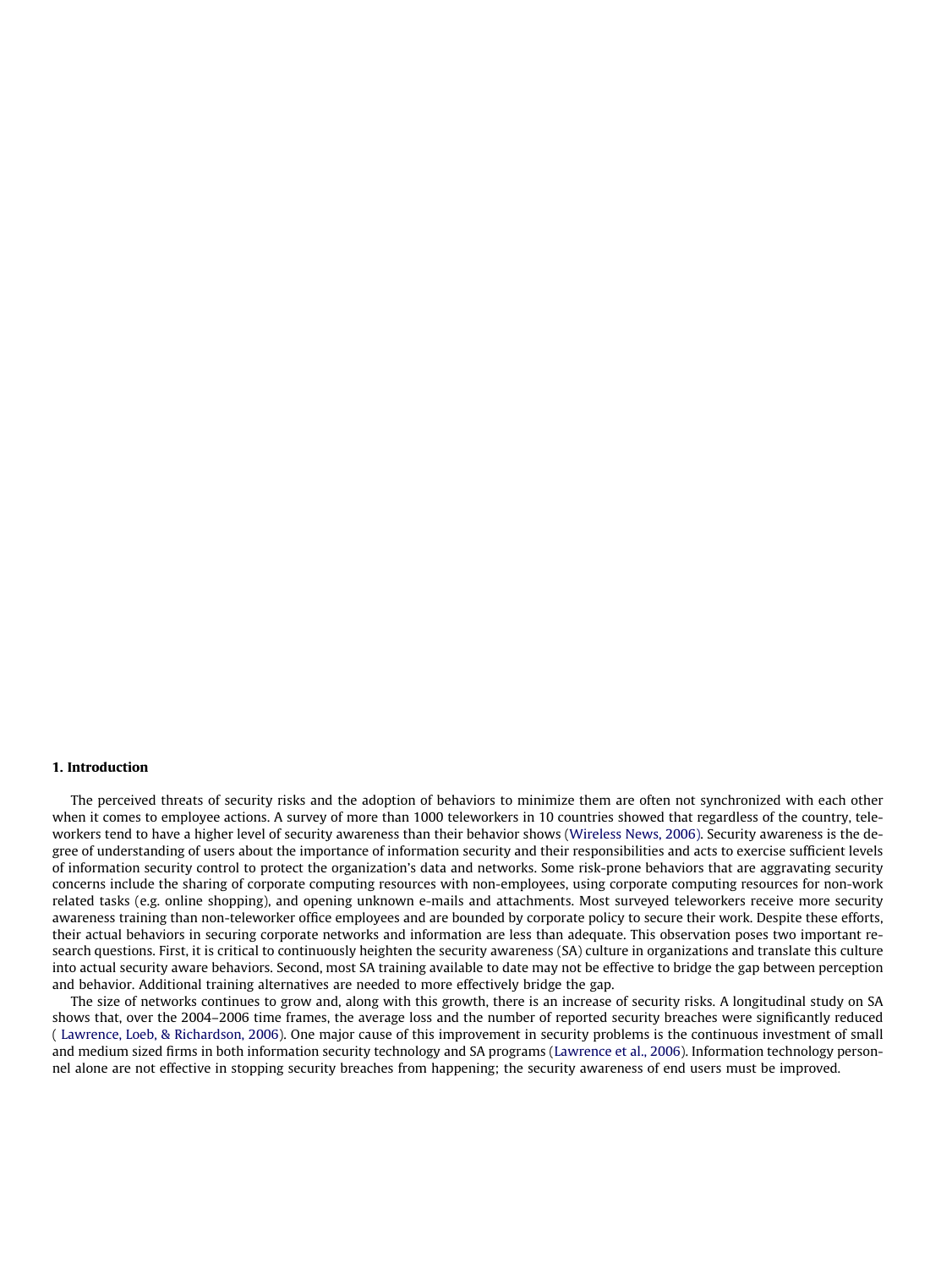#### 1. Introduction

The perceived threats of security risks and the adoption of behaviors to minimize them are often not synchronized with each other when it comes to employee actions. A survey of more than 1000 teleworkers in 10 countries showed that regardless of the country, teleworkers tend to have a higher level of security awareness than their behavior shows [\(Wireless News, 2006\)](#page-9-0). Security awareness is the degree of understanding of users about the importance of information security and their responsibilities and acts to exercise sufficient levels of information security control to protect the organization's data and networks. Some risk-prone behaviors that are aggravating security concerns include the sharing of corporate computing resources with non-employees, using corporate computing resources for non-work related tasks (e.g. online shopping), and opening unknown e-mails and attachments. Most surveyed teleworkers receive more security awareness training than non-teleworker office employees and are bounded by corporate policy to secure their work. Despite these efforts, their actual behaviors in securing corporate networks and information are less than adequate. This observation poses two important research questions. First, it is critical to continuously heighten the security awareness (SA) culture in organizations and translate this culture into actual security aware behaviors. Second, most SA training available to date may not be effective to bridge the gap between perception and behavior. Additional training alternatives are needed to more effectively bridge the gap.

The size of networks continues to grow and, along with this growth, there is an increase of security risks. A longitudinal study on SA shows that, over the 2004–2006 time frames, the average loss and the number of reported security breaches were significantly reduced ( [Lawrence, Loeb, & Richardson, 2006](#page-9-0)). One major cause of this improvement in security problems is the continuous investment of small and medium sized firms in both information security technology and SA programs ([Lawrence et al., 2006\)](#page-9-0). Information technology personnel alone are not effective in stopping security breaches from happening; the security awareness of end users must be improved.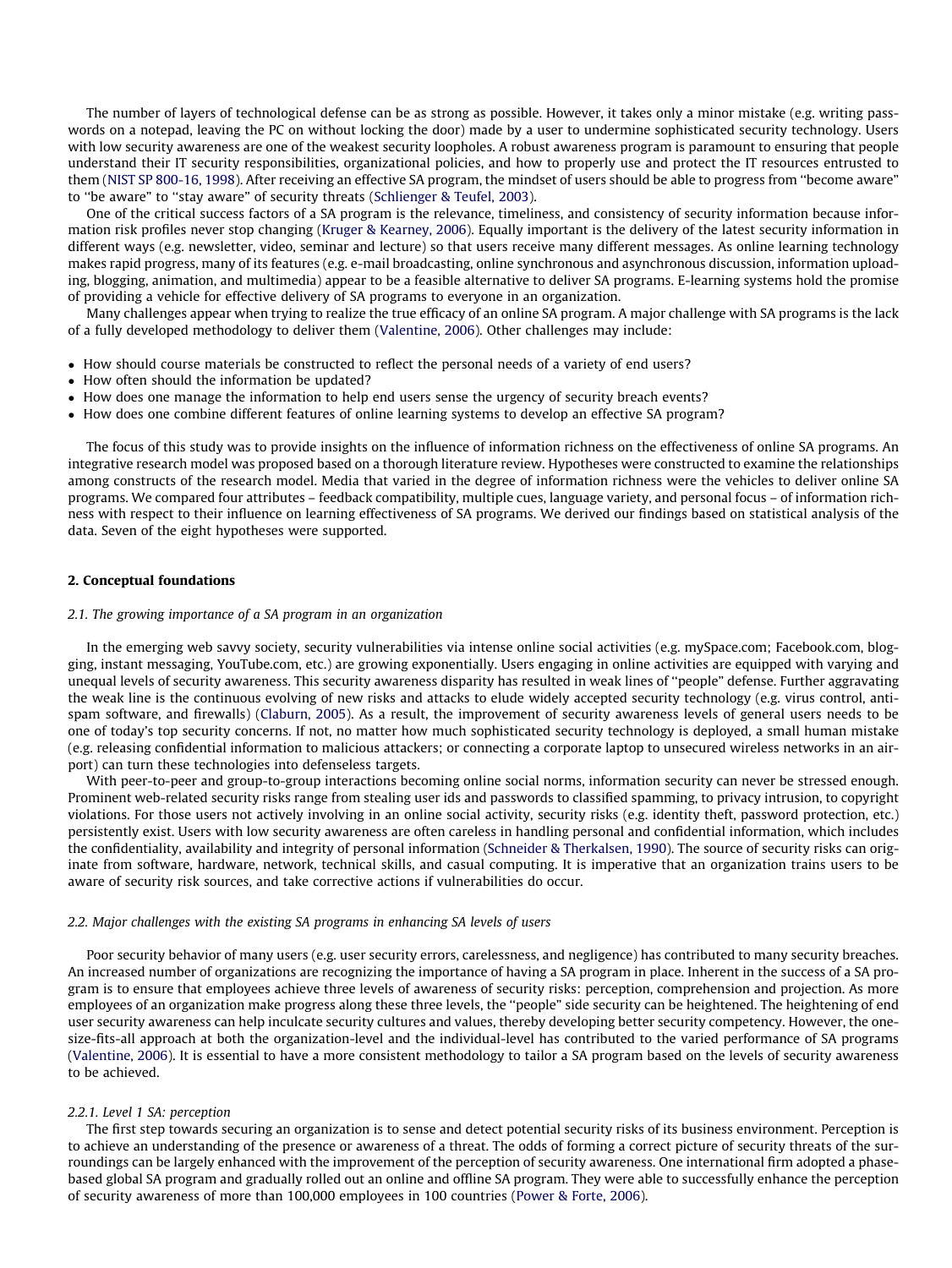The number of layers of technological defense can be as strong as possible. However, it takes only a minor mistake (e.g. writing passwords on a notepad, leaving the PC on without locking the door) made by a user to undermine sophisticated security technology. Users with low security awareness are one of the weakest security loopholes. A robust awareness program is paramount to ensuring that people understand their IT security responsibilities, organizational policies, and how to properly use and protect the IT resources entrusted to them [\(NIST SP 800-16, 1998](#page-9-0)). After receiving an effective SA program, the mindset of users should be able to progress from ''become aware" to ''be aware" to ''stay aware" of security threats [\(Schlienger & Teufel, 2003](#page-9-0)).

One of the critical success factors of a SA program is the relevance, timeliness, and consistency of security information because information risk profiles never stop changing ([Kruger & Kearney, 2006\)](#page-9-0). Equally important is the delivery of the latest security information in different ways (e.g. newsletter, video, seminar and lecture) so that users receive many different messages. As online learning technology makes rapid progress, many of its features (e.g. e-mail broadcasting, online synchronous and asynchronous discussion, information uploading, blogging, animation, and multimedia) appear to be a feasible alternative to deliver SA programs. E-learning systems hold the promise of providing a vehicle for effective delivery of SA programs to everyone in an organization.

Many challenges appear when trying to realize the true efficacy of an online SA program. A major challenge with SA programs is the lack of a fully developed methodology to deliver them ([Valentine, 2006](#page-9-0)). Other challenges may include:

- How should course materials be constructed to reflect the personal needs of a variety of end users?
- How often should the information be updated?
- How does one manage the information to help end users sense the urgency of security breach events?
- How does one combine different features of online learning systems to develop an effective SA program?

The focus of this study was to provide insights on the influence of information richness on the effectiveness of online SA programs. An integrative research model was proposed based on a thorough literature review. Hypotheses were constructed to examine the relationships among constructs of the research model. Media that varied in the degree of information richness were the vehicles to deliver online SA programs. We compared four attributes – feedback compatibility, multiple cues, language variety, and personal focus – of information richness with respect to their influence on learning effectiveness of SA programs. We derived our findings based on statistical analysis of the data. Seven of the eight hypotheses were supported.

#### 2. Conceptual foundations

#### 2.1. The growing importance of a SA program in an organization

In the emerging web savvy society, security vulnerabilities via intense online social activities (e.g. mySpace.com; Facebook.com, blogging, instant messaging, YouTube.com, etc.) are growing exponentially. Users engaging in online activities are equipped with varying and unequal levels of security awareness. This security awareness disparity has resulted in weak lines of ''people" defense. Further aggravating the weak line is the continuous evolving of new risks and attacks to elude widely accepted security technology (e.g. virus control, antispam software, and firewalls) [\(Claburn, 2005\)](#page-9-0). As a result, the improvement of security awareness levels of general users needs to be one of today's top security concerns. If not, no matter how much sophisticated security technology is deployed, a small human mistake (e.g. releasing confidential information to malicious attackers; or connecting a corporate laptop to unsecured wireless networks in an airport) can turn these technologies into defenseless targets.

With peer-to-peer and group-to-group interactions becoming online social norms, information security can never be stressed enough. Prominent web-related security risks range from stealing user ids and passwords to classified spamming, to privacy intrusion, to copyright violations. For those users not actively involving in an online social activity, security risks (e.g. identity theft, password protection, etc.) persistently exist. Users with low security awareness are often careless in handling personal and confidential information, which includes the confidentiality, availability and integrity of personal information [\(Schneider & Therkalsen, 1990](#page-9-0)). The source of security risks can originate from software, hardware, network, technical skills, and casual computing. It is imperative that an organization trains users to be aware of security risk sources, and take corrective actions if vulnerabilities do occur.

#### 2.2. Major challenges with the existing SA programs in enhancing SA levels of users

Poor security behavior of many users (e.g. user security errors, carelessness, and negligence) has contributed to many security breaches. An increased number of organizations are recognizing the importance of having a SA program in place. Inherent in the success of a SA program is to ensure that employees achieve three levels of awareness of security risks: perception, comprehension and projection. As more employees of an organization make progress along these three levels, the ''people" side security can be heightened. The heightening of end user security awareness can help inculcate security cultures and values, thereby developing better security competency. However, the onesize-fits-all approach at both the organization-level and the individual-level has contributed to the varied performance of SA programs ([Valentine, 2006\)](#page-9-0). It is essential to have a more consistent methodology to tailor a SA program based on the levels of security awareness to be achieved.

### 2.2.1. Level 1 SA: perception

The first step towards securing an organization is to sense and detect potential security risks of its business environment. Perception is to achieve an understanding of the presence or awareness of a threat. The odds of forming a correct picture of security threats of the surroundings can be largely enhanced with the improvement of the perception of security awareness. One international firm adopted a phasebased global SA program and gradually rolled out an online and offline SA program. They were able to successfully enhance the perception of security awareness of more than 100,000 employees in 100 countries [\(Power & Forte, 2006\)](#page-9-0).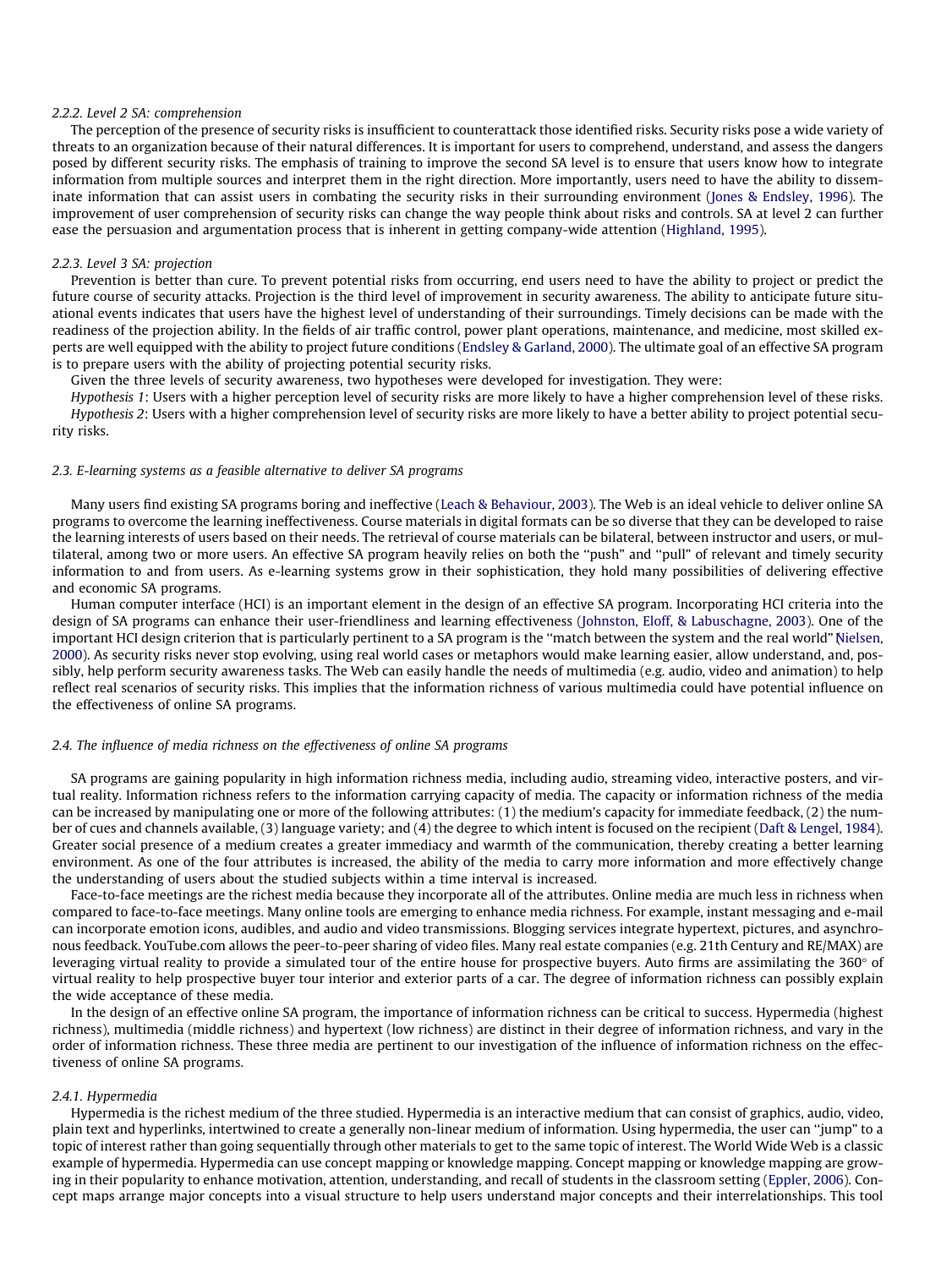#### 2.2.2. Level 2 SA: comprehension

The perception of the presence of security risks is insufficient to counterattack those identified risks. Security risks pose a wide variety of threats to an organization because of their natural differences. It is important for users to comprehend, understand, and assess the dangers posed by different security risks. The emphasis of training to improve the second SA level is to ensure that users know how to integrate information from multiple sources and interpret them in the right direction. More importantly, users need to have the ability to disseminate information that can assist users in combating the security risks in their surrounding environment [\(Jones & Endsley, 1996\)](#page-9-0). The improvement of user comprehension of security risks can change the way people think about risks and controls. SA at level 2 can further ease the persuasion and argumentation process that is inherent in getting company-wide attention ([Highland, 1995](#page-9-0)).

#### 2.2.3. Level 3 SA: projection

Prevention is better than cure. To prevent potential risks from occurring, end users need to have the ability to project or predict the future course of security attacks. Projection is the third level of improvement in security awareness. The ability to anticipate future situational events indicates that users have the highest level of understanding of their surroundings. Timely decisions can be made with the readiness of the projection ability. In the fields of air traffic control, power plant operations, maintenance, and medicine, most skilled experts are well equipped with the ability to project future conditions [\(Endsley & Garland, 2000\)](#page-9-0). The ultimate goal of an effective SA program is to prepare users with the ability of projecting potential security risks.

Given the three levels of security awareness, two hypotheses were developed for investigation. They were:

Hypothesis 1: Users with a higher perception level of security risks are more likely to have a higher comprehension level of these risks. Hypothesis 2: Users with a higher comprehension level of security risks are more likely to have a better ability to project potential security risks.

#### 2.3. E-learning systems as a feasible alternative to deliver SA programs

Many users find existing SA programs boring and ineffective ([Leach & Behaviour, 2003](#page-9-0)). The Web is an ideal vehicle to deliver online SA programs to overcome the learning ineffectiveness. Course materials in digital formats can be so diverse that they can be developed to raise the learning interests of users based on their needs. The retrieval of course materials can be bilateral, between instructor and users, or multilateral, among two or more users. An effective SA program heavily relies on both the ''push" and ''pull" of relevant and timely security information to and from users. As e-learning systems grow in their sophistication, they hold many possibilities of delivering effective and economic SA programs.

Human computer interface (HCI) is an important element in the design of an effective SA program. Incorporating HCI criteria into the design of SA programs can enhance their user-friendliness and learning effectiveness [\(Johnston, Eloff, & Labuschagne, 2003\)](#page-9-0). One of the important HCI design criterion that is particularly pertinent to a SA program is the ''match between the system and the real world" [\(Nielsen,](#page-9-0) [2000\)](#page-9-0). As security risks never stop evolving, using real world cases or metaphors would make learning easier, allow understand, and, possibly, help perform security awareness tasks. The Web can easily handle the needs of multimedia (e.g. audio, video and animation) to help reflect real scenarios of security risks. This implies that the information richness of various multimedia could have potential influence on the effectiveness of online SA programs.

#### 2.4. The influence of media richness on the effectiveness of online SA programs

SA programs are gaining popularity in high information richness media, including audio, streaming video, interactive posters, and virtual reality. Information richness refers to the information carrying capacity of media. The capacity or information richness of the media can be increased by manipulating one or more of the following attributes: (1) the medium's capacity for immediate feedback, (2) the number of cues and channels available, (3) language variety; and (4) the degree to which intent is focused on the recipient [\(Daft & Lengel, 1984\)](#page-9-0). Greater social presence of a medium creates a greater immediacy and warmth of the communication, thereby creating a better learning environment. As one of the four attributes is increased, the ability of the media to carry more information and more effectively change the understanding of users about the studied subjects within a time interval is increased.

Face-to-face meetings are the richest media because they incorporate all of the attributes. Online media are much less in richness when compared to face-to-face meetings. Many online tools are emerging to enhance media richness. For example, instant messaging and e-mail can incorporate emotion icons, audibles, and audio and video transmissions. Blogging services integrate hypertext, pictures, and asynchronous feedback. YouTube.com allows the peer-to-peer sharing of video files. Many real estate companies (e.g. 21th Century and RE/MAX) are leveraging virtual reality to provide a simulated tour of the entire house for prospective buyers. Auto firms are assimilating the 360° of virtual reality to help prospective buyer tour interior and exterior parts of a car. The degree of information richness can possibly explain the wide acceptance of these media.

In the design of an effective online SA program, the importance of information richness can be critical to success. Hypermedia (highest richness), multimedia (middle richness) and hypertext (low richness) are distinct in their degree of information richness, and vary in the order of information richness. These three media are pertinent to our investigation of the influence of information richness on the effectiveness of online SA programs.

#### 2.4.1. Hypermedia

Hypermedia is the richest medium of the three studied. Hypermedia is an interactive medium that can consist of graphics, audio, video, plain text and hyperlinks, intertwined to create a generally non-linear medium of information. Using hypermedia, the user can ''jump" to a topic of interest rather than going sequentially through other materials to get to the same topic of interest. The World Wide Web is a classic example of hypermedia. Hypermedia can use concept mapping or knowledge mapping. Concept mapping or knowledge mapping are growing in their popularity to enhance motivation, attention, understanding, and recall of students in the classroom setting ([Eppler, 2006\)](#page-9-0). Concept maps arrange major concepts into a visual structure to help users understand major concepts and their interrelationships. This tool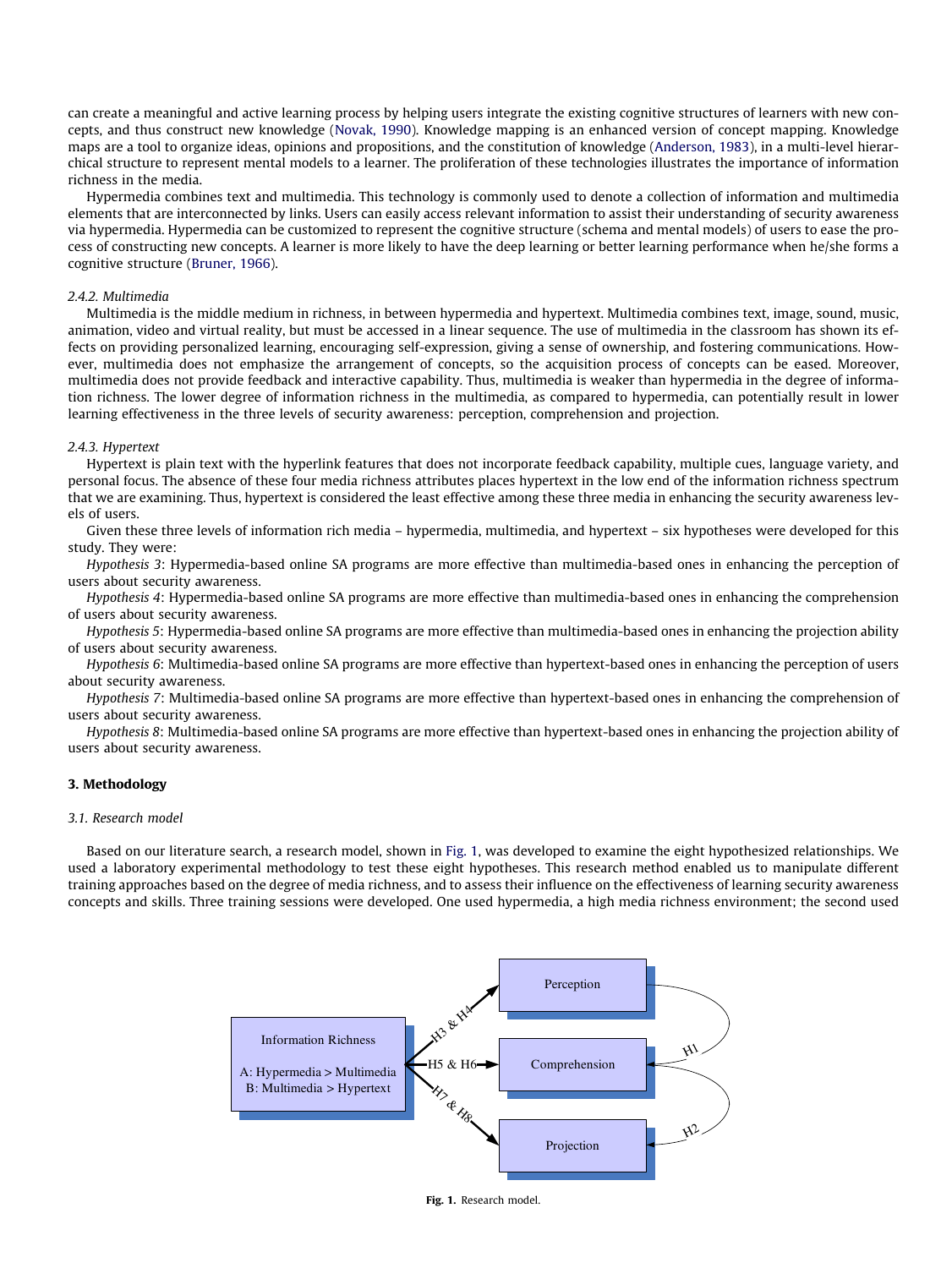can create a meaningful and active learning process by helping users integrate the existing cognitive structures of learners with new concepts, and thus construct new knowledge ([Novak, 1990](#page-9-0)). Knowledge mapping is an enhanced version of concept mapping. Knowledge maps are a tool to organize ideas, opinions and propositions, and the constitution of knowledge ([Anderson, 1983](#page-8-0)), in a multi-level hierarchical structure to represent mental models to a learner. The proliferation of these technologies illustrates the importance of information richness in the media.

Hypermedia combines text and multimedia. This technology is commonly used to denote a collection of information and multimedia elements that are interconnected by links. Users can easily access relevant information to assist their understanding of security awareness via hypermedia. Hypermedia can be customized to represent the cognitive structure (schema and mental models) of users to ease the process of constructing new concepts. A learner is more likely to have the deep learning or better learning performance when he/she forms a cognitive structure ([Bruner, 1966](#page-8-0)).

#### 2.4.2. Multimedia

Multimedia is the middle medium in richness, in between hypermedia and hypertext. Multimedia combines text, image, sound, music, animation, video and virtual reality, but must be accessed in a linear sequence. The use of multimedia in the classroom has shown its effects on providing personalized learning, encouraging self-expression, giving a sense of ownership, and fostering communications. However, multimedia does not emphasize the arrangement of concepts, so the acquisition process of concepts can be eased. Moreover, multimedia does not provide feedback and interactive capability. Thus, multimedia is weaker than hypermedia in the degree of information richness. The lower degree of information richness in the multimedia, as compared to hypermedia, can potentially result in lower learning effectiveness in the three levels of security awareness: perception, comprehension and projection.

#### 2.4.3. Hypertext

Hypertext is plain text with the hyperlink features that does not incorporate feedback capability, multiple cues, language variety, and personal focus. The absence of these four media richness attributes places hypertext in the low end of the information richness spectrum that we are examining. Thus, hypertext is considered the least effective among these three media in enhancing the security awareness levels of users.

Given these three levels of information rich media – hypermedia, multimedia, and hypertext – six hypotheses were developed for this study. They were:

Hypothesis 3: Hypermedia-based online SA programs are more effective than multimedia-based ones in enhancing the perception of users about security awareness.

Hypothesis 4: Hypermedia-based online SA programs are more effective than multimedia-based ones in enhancing the comprehension of users about security awareness.

Hypothesis 5: Hypermedia-based online SA programs are more effective than multimedia-based ones in enhancing the projection ability of users about security awareness.

Hypothesis 6: Multimedia-based online SA programs are more effective than hypertext-based ones in enhancing the perception of users about security awareness.

Hypothesis 7: Multimedia-based online SA programs are more effective than hypertext-based ones in enhancing the comprehension of users about security awareness.

Hypothesis 8: Multimedia-based online SA programs are more effective than hypertext-based ones in enhancing the projection ability of users about security awareness.

#### 3. Methodology

#### 3.1. Research model

Based on our literature search, a research model, shown in Fig. 1, was developed to examine the eight hypothesized relationships. We used a laboratory experimental methodology to test these eight hypotheses. This research method enabled us to manipulate different training approaches based on the degree of media richness, and to assess their influence on the effectiveness of learning security awareness concepts and skills. Three training sessions were developed. One used hypermedia, a high media richness environment; the second used



Fig. 1. Research model.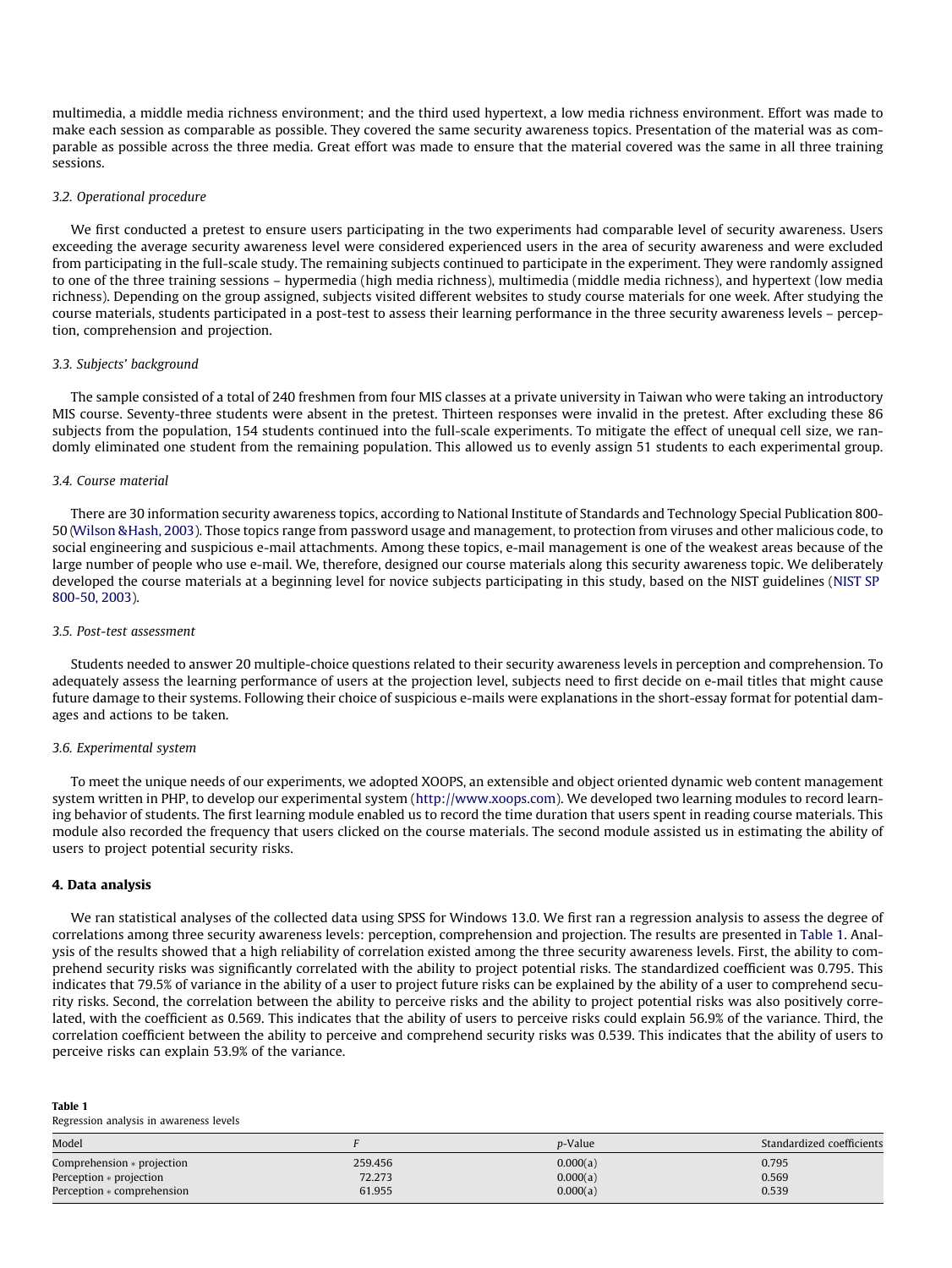multimedia, a middle media richness environment; and the third used hypertext, a low media richness environment. Effort was made to make each session as comparable as possible. They covered the same security awareness topics. Presentation of the material was as comparable as possible across the three media. Great effort was made to ensure that the material covered was the same in all three training sessions.

#### 3.2. Operational procedure

We first conducted a pretest to ensure users participating in the two experiments had comparable level of security awareness. Users exceeding the average security awareness level were considered experienced users in the area of security awareness and were excluded from participating in the full-scale study. The remaining subjects continued to participate in the experiment. They were randomly assigned to one of the three training sessions – hypermedia (high media richness), multimedia (middle media richness), and hypertext (low media richness). Depending on the group assigned, subjects visited different websites to study course materials for one week. After studying the course materials, students participated in a post-test to assess their learning performance in the three security awareness levels – perception, comprehension and projection.

#### 3.3. Subjects' background

The sample consisted of a total of 240 freshmen from four MIS classes at a private university in Taiwan who were taking an introductory MIS course. Seventy-three students were absent in the pretest. Thirteen responses were invalid in the pretest. After excluding these 86 subjects from the population, 154 students continued into the full-scale experiments. To mitigate the effect of unequal cell size, we randomly eliminated one student from the remaining population. This allowed us to evenly assign 51 students to each experimental group.

#### 3.4. Course material

There are 30 information security awareness topics, according to National Institute of Standards and Technology Special Publication 800- 50 [\(Wilson &Hash, 2003\)](#page-9-0). Those topics range from password usage and management, to protection from viruses and other malicious code, to social engineering and suspicious e-mail attachments. Among these topics, e-mail management is one of the weakest areas because of the large number of people who use e-mail. We, therefore, designed our course materials along this security awareness topic. We deliberately developed the course materials at a beginning level for novice subjects participating in this study, based on the NIST guidelines ([NIST SP](#page-9-0) [800-50, 2003](#page-9-0)).

#### 3.5. Post-test assessment

Students needed to answer 20 multiple-choice questions related to their security awareness levels in perception and comprehension. To adequately assess the learning performance of users at the projection level, subjects need to first decide on e-mail titles that might cause future damage to their systems. Following their choice of suspicious e-mails were explanations in the short-essay format for potential damages and actions to be taken.

#### 3.6. Experimental system

To meet the unique needs of our experiments, we adopted XOOPS, an extensible and object oriented dynamic web content management system written in PHP, to develop our experimental system [\(http://www.xoops.com\)](http://www.xoops.com). We developed two learning modules to record learning behavior of students. The first learning module enabled us to record the time duration that users spent in reading course materials. This module also recorded the frequency that users clicked on the course materials. The second module assisted us in estimating the ability of users to project potential security risks.

#### 4. Data analysis

We ran statistical analyses of the collected data using SPSS for Windows 13.0. We first ran a regression analysis to assess the degree of correlations among three security awareness levels: perception, comprehension and projection. The results are presented in Table 1. Analysis of the results showed that a high reliability of correlation existed among the three security awareness levels. First, the ability to comprehend security risks was significantly correlated with the ability to project potential risks. The standardized coefficient was 0.795. This indicates that 79.5% of variance in the ability of a user to project future risks can be explained by the ability of a user to comprehend security risks. Second, the correlation between the ability to perceive risks and the ability to project potential risks was also positively correlated, with the coefficient as 0.569. This indicates that the ability of users to perceive risks could explain 56.9% of the variance. Third, the correlation coefficient between the ability to perceive and comprehend security risks was 0.539. This indicates that the ability of users to perceive risks can explain 53.9% of the variance.

Standardized coefficients

| ldDIC 1<br>Regression analysis in awareness levels |         |                 |       |
|----------------------------------------------------|---------|-----------------|-------|
| Model                                              |         | <i>p</i> -Value | Stand |
| Comprehension * projection                         | 259.456 | 0.000(a)        | 0.795 |
| Perception * projection                            | 72.273  | 0.000(a)        | 0.569 |
| Perception * comprehension                         | 61.955  | 0.000(a)        | 0.539 |

## Table 1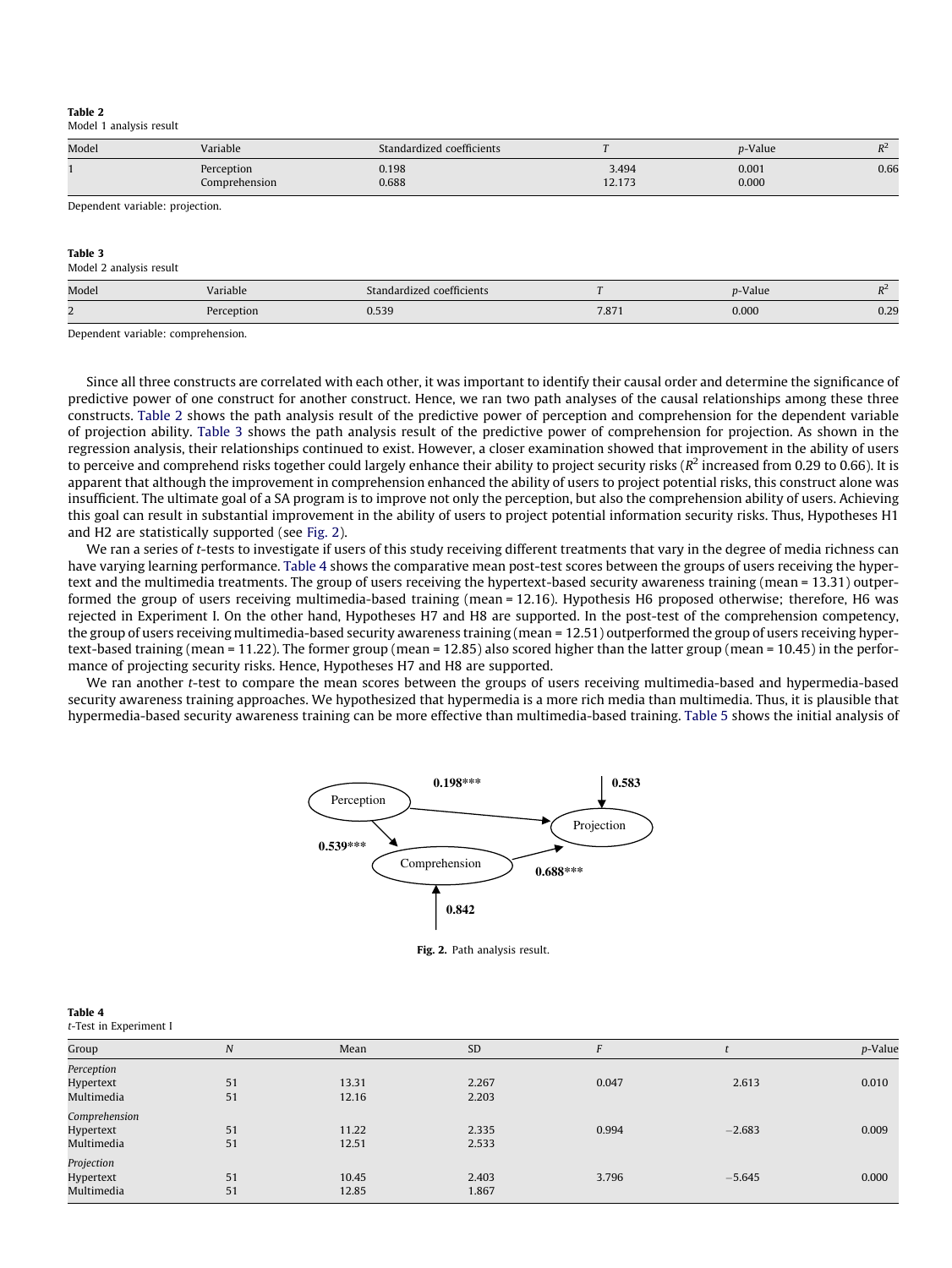## Table 2

Model 1 analysis result

| Model | Variable                    | Standardized coefficients |                          | p-Value        | $\bf{v}$ |
|-------|-----------------------------|---------------------------|--------------------------|----------------|----------|
|       | Perception<br>Comprehension | 0.198<br>0.688            | 3.494<br>12172<br>14.173 | 0.001<br>0.000 | 0.66     |

Dependent variable: projection.

#### Table 3

| Model 2 analysis result |  |
|-------------------------|--|
|-------------------------|--|

| Model                         | Variable   | Standardized coefficients | <b>CONT</b> | <i>p</i> -Value | n.   |
|-------------------------------|------------|---------------------------|-------------|-----------------|------|
| $\overline{\phantom{0}}$<br>∠ | Perception | 0.539                     | 7.871       | 0.000           | 0.29 |

Dependent variable: comprehension.

Since all three constructs are correlated with each other, it was important to identify their causal order and determine the significance of predictive power of one construct for another construct. Hence, we ran two path analyses of the causal relationships among these three constructs. Table 2 shows the path analysis result of the predictive power of perception and comprehension for the dependent variable of projection ability. Table 3 shows the path analysis result of the predictive power of comprehension for projection. As shown in the regression analysis, their relationships continued to exist. However, a closer examination showed that improvement in the ability of users to perceive and comprehend risks together could largely enhance their ability to project security risks ( $R<sup>2</sup>$  increased from 0.29 to 0.66). It is apparent that although the improvement in comprehension enhanced the ability of users to project potential risks, this construct alone was insufficient. The ultimate goal of a SA program is to improve not only the perception, but also the comprehension ability of users. Achieving this goal can result in substantial improvement in the ability of users to project potential information security risks. Thus, Hypotheses H1 and H2 are statistically supported (see Fig. 2).

We ran a series of t-tests to investigate if users of this study receiving different treatments that vary in the degree of media richness can have varying learning performance. Table 4 shows the comparative mean post-test scores between the groups of users receiving the hypertext and the multimedia treatments. The group of users receiving the hypertext-based security awareness training (mean = 13.31) outperformed the group of users receiving multimedia-based training (mean = 12.16). Hypothesis H6 proposed otherwise; therefore, H6 was rejected in Experiment I. On the other hand, Hypotheses H7 and H8 are supported. In the post-test of the comprehension competency, the group of users receiving multimedia-based security awareness training (mean = 12.51) outperformed the group of users receiving hypertext-based training (mean = 11.22). The former group (mean = 12.85) also scored higher than the latter group (mean = 10.45) in the performance of projecting security risks. Hence, Hypotheses H7 and H8 are supported.

We ran another t-test to compare the mean scores between the groups of users receiving multimedia-based and hypermedia-based security awareness training approaches. We hypothesized that hypermedia is a more rich media than multimedia. Thus, it is plausible that hypermedia-based security awareness training can be more effective than multimedia-based training. [Table 5](#page-7-0) shows the initial analysis of



Fig. 2. Path analysis result.

| $\frac{1}{2}$ . The mass of $\frac{1}{2}$ is the set of $\frac{1}{2}$ |    |       |       |       |          |         |
|-----------------------------------------------------------------------|----|-------|-------|-------|----------|---------|
| Group                                                                 | N  | Mean  | SD    |       |          | p-Value |
| Perception                                                            |    |       |       |       |          |         |
| Hypertext                                                             | 51 | 13.31 | 2.267 | 0.047 | 2.613    | 0.010   |
| Multimedia                                                            | 51 | 12.16 | 2.203 |       |          |         |
| Comprehension                                                         |    |       |       |       |          |         |
| Hypertext                                                             | 51 | 11.22 | 2.335 | 0.994 | $-2.683$ | 0.009   |
| Multimedia                                                            | 51 | 12.51 | 2.533 |       |          |         |
| Projection                                                            |    |       |       |       |          |         |
| Hypertext                                                             | 51 | 10.45 | 2.403 | 3.796 | $-5.645$ | 0.000   |
| Multimedia                                                            | 51 | 12.85 | 1.867 |       |          |         |
|                                                                       |    |       |       |       |          |         |

#### Table 4 t-Test in Experiment I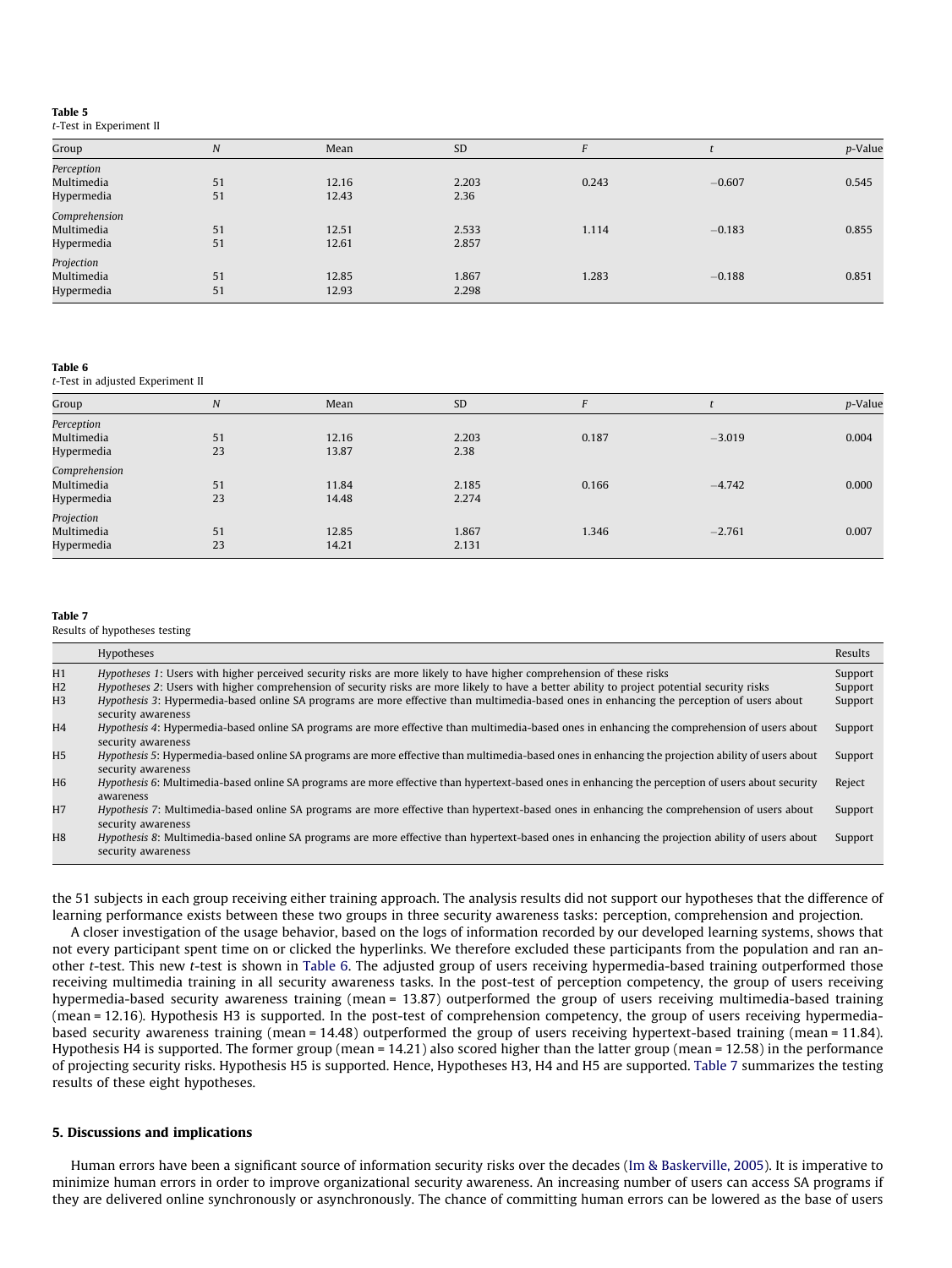#### <span id="page-7-0"></span>Table 5

t-Test in Experiment II

| Group         | N  | Mean  | SD    |       |          | p-Value |
|---------------|----|-------|-------|-------|----------|---------|
| Perception    |    |       |       |       |          |         |
| Multimedia    | 51 | 12.16 | 2.203 | 0.243 | $-0.607$ | 0.545   |
| Hypermedia    | 51 | 12.43 | 2.36  |       |          |         |
| Comprehension |    |       |       |       |          |         |
| Multimedia    | 51 | 12.51 | 2.533 | 1.114 | $-0.183$ | 0.855   |
| Hypermedia    | 51 | 12.61 | 2.857 |       |          |         |
| Projection    |    |       |       |       |          |         |
| Multimedia    | 51 | 12.85 | 1.867 | 1.283 | $-0.188$ | 0.851   |
| Hypermedia    | 51 | 12.93 | 2.298 |       |          |         |

#### Table 6

t-Test in adjusted Experiment II

| SD    |       |          | p-Value |
|-------|-------|----------|---------|
|       |       |          |         |
| 2.203 | 0.187 | $-3.019$ | 0.004   |
| 2.38  |       |          |         |
|       |       |          |         |
| 2.185 | 0.166 | $-4.742$ | 0.000   |
| 2.274 |       |          |         |
|       |       |          |         |
| 1.867 | 1.346 | $-2.761$ | 0.007   |
| 2.131 |       |          |         |
|       |       |          |         |

#### Table 7

Results of hypotheses testing

|                | Hypotheses                                                                                                                                                               | Results |
|----------------|--------------------------------------------------------------------------------------------------------------------------------------------------------------------------|---------|
| Η1             | Hypotheses 1: Users with higher perceived security risks are more likely to have higher comprehension of these risks                                                     | Support |
| H2             | Hypotheses 2: Users with higher comprehension of security risks are more likely to have a better ability to project potential security risks                             | Support |
| H3             | Hypothesis 3: Hypermedia-based online SA programs are more effective than multimedia-based ones in enhancing the perception of users about<br>security awareness         | Support |
| H4             | Hypothesis 4: Hypermedia-based online SA programs are more effective than multimedia-based ones in enhancing the comprehension of users about<br>security awareness      | Support |
| H <sub>5</sub> | Hypothesis 5: Hypermedia-based online SA programs are more effective than multimedia-based ones in enhancing the projection ability of users about<br>security awareness | Support |
| H <sub>6</sub> | Hypothesis 6: Multimedia-based online SA programs are more effective than hypertext-based ones in enhancing the perception of users about security<br>awareness          | Reject  |
| H7             | Hypothesis 7: Multimedia-based online SA programs are more effective than hypertext-based ones in enhancing the comprehension of users about<br>security awareness       | Support |
| H8             | Hypothesis 8: Multimedia-based online SA programs are more effective than hypertext-based ones in enhancing the projection ability of users about<br>security awareness  | Support |

the 51 subjects in each group receiving either training approach. The analysis results did not support our hypotheses that the difference of learning performance exists between these two groups in three security awareness tasks: perception, comprehension and projection.

A closer investigation of the usage behavior, based on the logs of information recorded by our developed learning systems, shows that not every participant spent time on or clicked the hyperlinks. We therefore excluded these participants from the population and ran another t-test. This new t-test is shown in Table 6. The adjusted group of users receiving hypermedia-based training outperformed those receiving multimedia training in all security awareness tasks. In the post-test of perception competency, the group of users receiving hypermedia-based security awareness training (mean = 13.87) outperformed the group of users receiving multimedia-based training (mean = 12.16). Hypothesis H3 is supported. In the post-test of comprehension competency, the group of users receiving hypermediabased security awareness training (mean = 14.48) outperformed the group of users receiving hypertext-based training (mean = 11.84). Hypothesis H4 is supported. The former group (mean = 14.21) also scored higher than the latter group (mean = 12.58) in the performance of projecting security risks. Hypothesis H5 is supported. Hence, Hypotheses H3, H4 and H5 are supported. Table 7 summarizes the testing results of these eight hypotheses.

#### 5. Discussions and implications

Human errors have been a significant source of information security risks over the decades ([Im & Baskerville, 2005](#page-9-0)). It is imperative to minimize human errors in order to improve organizational security awareness. An increasing number of users can access SA programs if they are delivered online synchronously or asynchronously. The chance of committing human errors can be lowered as the base of users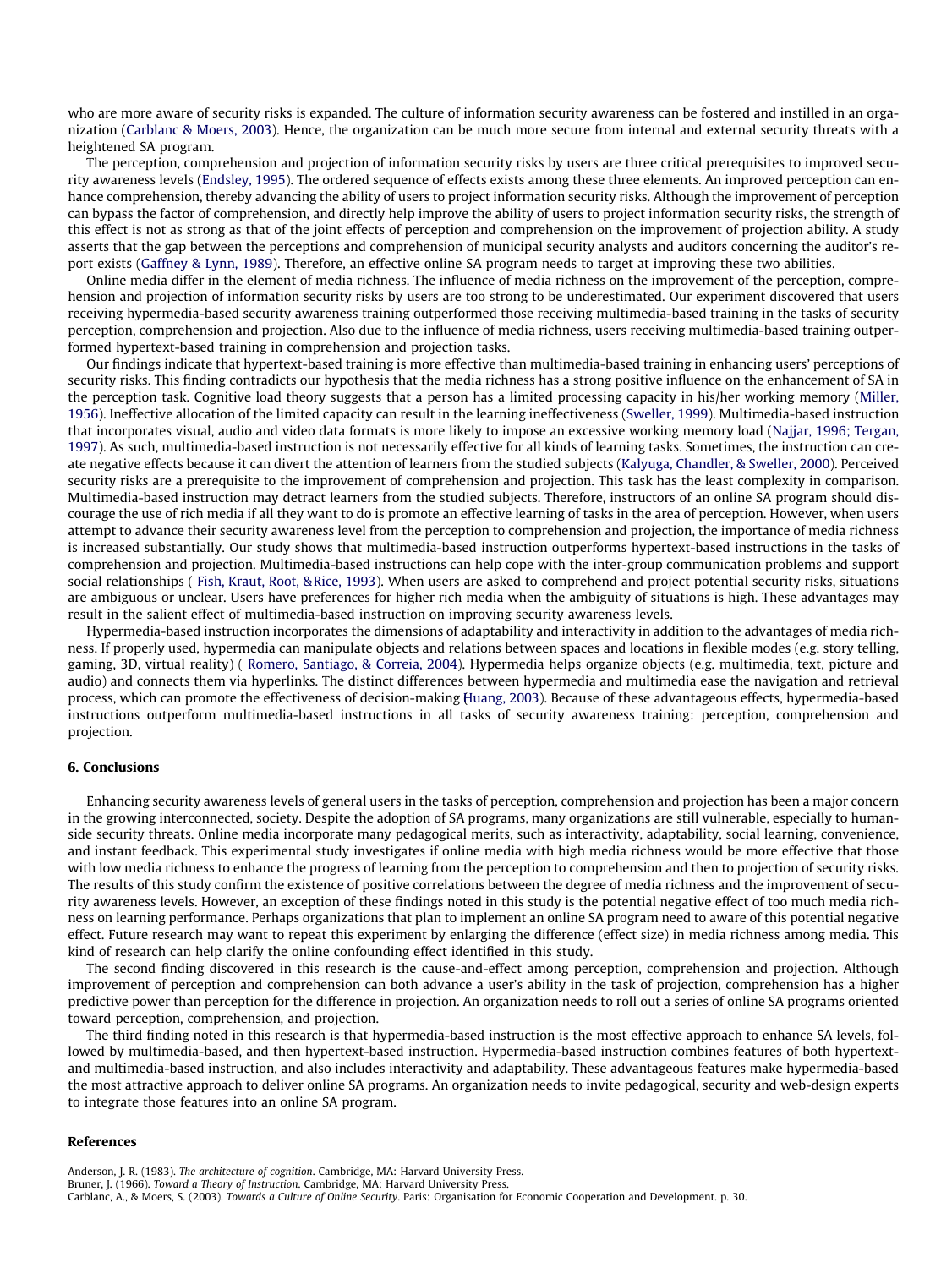<span id="page-8-0"></span>who are more aware of security risks is expanded. The culture of information security awareness can be fostered and instilled in an organization (Carblanc & Moers, 2003). Hence, the organization can be much more secure from internal and external security threats with a heightened SA program.

The perception, comprehension and projection of information security risks by users are three critical prerequisites to improved security awareness levels [\(Endsley, 1995\)](#page-9-0). The ordered sequence of effects exists among these three elements. An improved perception can enhance comprehension, thereby advancing the ability of users to project information security risks. Although the improvement of perception can bypass the factor of comprehension, and directly help improve the ability of users to project information security risks, the strength of this effect is not as strong as that of the joint effects of perception and comprehension on the improvement of projection ability. A study asserts that the gap between the perceptions and comprehension of municipal security analysts and auditors concerning the auditor's report exists [\(Gaffney & Lynn, 1989\)](#page-9-0). Therefore, an effective online SA program needs to target at improving these two abilities.

Online media differ in the element of media richness. The influence of media richness on the improvement of the perception, comprehension and projection of information security risks by users are too strong to be underestimated. Our experiment discovered that users receiving hypermedia-based security awareness training outperformed those receiving multimedia-based training in the tasks of security perception, comprehension and projection. Also due to the influence of media richness, users receiving multimedia-based training outperformed hypertext-based training in comprehension and projection tasks.

Our findings indicate that hypertext-based training is more effective than multimedia-based training in enhancing users' perceptions of security risks. This finding contradicts our hypothesis that the media richness has a strong positive influence on the enhancement of SA in the perception task. Cognitive load theory suggests that a person has a limited processing capacity in his/her working memory [\(Miller,](#page-9-0) [1956\)](#page-9-0). Ineffective allocation of the limited capacity can result in the learning ineffectiveness [\(Sweller, 1999](#page-9-0)). Multimedia-based instruction that incorporates visual, audio and video data formats is more likely to impose an excessive working memory load [\(Najjar, 1996; Tergan,](#page-9-0) [1997\)](#page-9-0). As such, multimedia-based instruction is not necessarily effective for all kinds of learning tasks. Sometimes, the instruction can create negative effects because it can divert the attention of learners from the studied subjects [\(Kalyuga, Chandler, & Sweller, 2000](#page-9-0)). Perceived security risks are a prerequisite to the improvement of comprehension and projection. This task has the least complexity in comparison. Multimedia-based instruction may detract learners from the studied subjects. Therefore, instructors of an online SA program should discourage the use of rich media if all they want to do is promote an effective learning of tasks in the area of perception. However, when users attempt to advance their security awareness level from the perception to comprehension and projection, the importance of media richness is increased substantially. Our study shows that multimedia-based instruction outperforms hypertext-based instructions in the tasks of comprehension and projection. Multimedia-based instructions can help cope with the inter-group communication problems and support social relationships ( [Fish, Kraut, Root, &Rice, 1993](#page-9-0)). When users are asked to comprehend and project potential security risks, situations are ambiguous or unclear. Users have preferences for higher rich media when the ambiguity of situations is high. These advantages may result in the salient effect of multimedia-based instruction on improving security awareness levels.

Hypermedia-based instruction incorporates the dimensions of adaptability and interactivity in addition to the advantages of media richness. If properly used, hypermedia can manipulate objects and relations between spaces and locations in flexible modes (e.g. story telling, gaming, 3D, virtual reality) ( [Romero, Santiago, & Correia, 2004](#page-9-0)). Hypermedia helps organize objects (e.g. multimedia, text, picture and audio) and connects them via hyperlinks. The distinct differences between hypermedia and multimedia ease the navigation and retrieval process, which can promote the effectiveness of decision-making [\(Huang, 2003\)](#page-9-0). Because of these advantageous effects, hypermedia-based instructions outperform multimedia-based instructions in all tasks of security awareness training: perception, comprehension and projection.

#### 6. Conclusions

Enhancing security awareness levels of general users in the tasks of perception, comprehension and projection has been a major concern in the growing interconnected, society. Despite the adoption of SA programs, many organizations are still vulnerable, especially to humanside security threats. Online media incorporate many pedagogical merits, such as interactivity, adaptability, social learning, convenience, and instant feedback. This experimental study investigates if online media with high media richness would be more effective that those with low media richness to enhance the progress of learning from the perception to comprehension and then to projection of security risks. The results of this study confirm the existence of positive correlations between the degree of media richness and the improvement of security awareness levels. However, an exception of these findings noted in this study is the potential negative effect of too much media richness on learning performance. Perhaps organizations that plan to implement an online SA program need to aware of this potential negative effect. Future research may want to repeat this experiment by enlarging the difference (effect size) in media richness among media. This kind of research can help clarify the online confounding effect identified in this study.

The second finding discovered in this research is the cause-and-effect among perception, comprehension and projection. Although improvement of perception and comprehension can both advance a user's ability in the task of projection, comprehension has a higher predictive power than perception for the difference in projection. An organization needs to roll out a series of online SA programs oriented toward perception, comprehension, and projection.

The third finding noted in this research is that hypermedia-based instruction is the most effective approach to enhance SA levels, followed by multimedia-based, and then hypertext-based instruction. Hypermedia-based instruction combines features of both hypertextand multimedia-based instruction, and also includes interactivity and adaptability. These advantageous features make hypermedia-based the most attractive approach to deliver online SA programs. An organization needs to invite pedagogical, security and web-design experts to integrate those features into an online SA program.

#### References